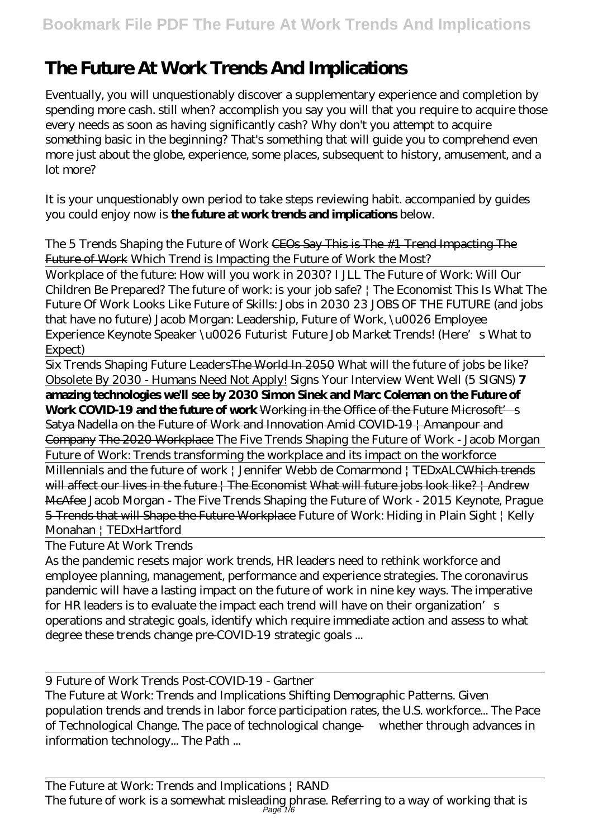## **The Future At Work Trends And Implications**

Eventually, you will unquestionably discover a supplementary experience and completion by spending more cash. still when? accomplish you say you will that you require to acquire those every needs as soon as having significantly cash? Why don't you attempt to acquire something basic in the beginning? That's something that will guide you to comprehend even more just about the globe, experience, some places, subsequent to history, amusement, and a lot more?

It is your unquestionably own period to take steps reviewing habit. accompanied by guides you could enjoy now is **the future at work trends and implications** below.

## *The 5 Trends Shaping the Future of Work* CEOs Say This is The #1 Trend Impacting The Future of Work *Which Trend is Impacting the Future of Work the Most?*

Workplace of the future: How will you work in 2030? I JLL The Future of Work: Will Our Children Be Prepared? The future of work: is your job safe? | The Economist This Is What The Future Of Work Looks Like Future of Skills: Jobs in 2030 *23 JOBS OF THE FUTURE (and jobs that have no future)* Jacob Morgan: Leadership, Future of Work, \u0026 Employee Experience Keynote Speaker \u0026 Futurist *Future Job Market Trends! (Here's What to Expect)*

Six Trends Shaping Future LeadersThe World In 2050 *What will the future of jobs be like?* Obsolete By 2030 - Humans Need Not Apply! Signs Your Interview Went Well (5 SIGNS) **7 amazing technologies we'll see by 2030 Simon Sinek and Marc Coleman on the Future of Work COVID-19 and the future of work** Working in the Office of the Future Microsoft's Satya Nadella on the Future of Work and Innovation Amid COVID-19 | Amanpour and Company The 2020 Workplace *The Five Trends Shaping the Future of Work - Jacob Morgan* Future of Work: Trends transforming the workplace and its impact on the workforce Millennials and the future of work | Jennifer Webb de Comarmond | TEDxALC<del>Which trends</del> will affect our lives in the future | The Economist What will future jobs look like? | Andrew McAfee *Jacob Morgan - The Five Trends Shaping the Future of Work - 2015 Keynote, Prague* 5 Trends that will Shape the Future Workplace Future of Work: Hiding in Plain Sight | Kelly Monahan | TEDxHartford

The Future At Work Trends

As the pandemic resets major work trends, HR leaders need to rethink workforce and employee planning, management, performance and experience strategies. The coronavirus pandemic will have a lasting impact on the future of work in nine key ways. The imperative for HR leaders is to evaluate the impact each trend will have on their organization's operations and strategic goals, identify which require immediate action and assess to what degree these trends change pre-COVID-19 strategic goals ...

9 Future of Work Trends Post-COVID-19 - Gartner

The Future at Work: Trends and Implications Shifting Demographic Patterns. Given population trends and trends in labor force participation rates, the U.S. workforce... The Pace of Technological Change. The pace of technological change — whether through advances in information technology... The Path ...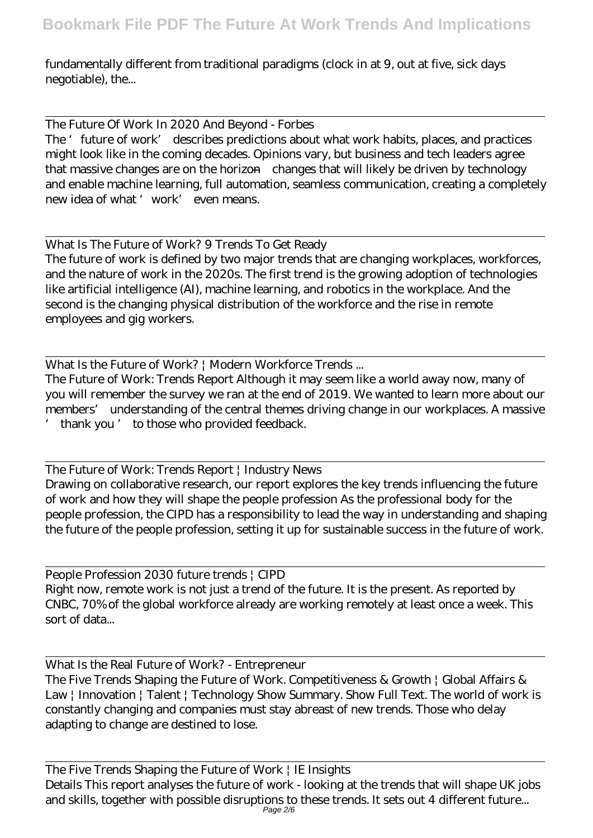fundamentally different from traditional paradigms (clock in at 9, out at five, sick days negotiable), the...

The Future Of Work In 2020 And Beyond - Forbes The 'future of work' describes predictions about what work habits, places, and practices might look like in the coming decades. Opinions vary, but business and tech leaders agree that massive changes are on the horizon—changes that will likely be driven by technology and enable machine learning, full automation, seamless communication, creating a completely new idea of what 'work' even means.

What Is The Future of Work? 9 Trends To Get Ready The future of work is defined by two major trends that are changing workplaces, workforces, and the nature of work in the 2020s. The first trend is the growing adoption of technologies like artificial intelligence (AI), machine learning, and robotics in the workplace. And the second is the changing physical distribution of the workforce and the rise in remote employees and gig workers.

What Is the Future of Work? | Modern Workforce Trends ...

The Future of Work: Trends Report Although it may seem like a world away now, many of you will remember the survey we ran at the end of 2019. We wanted to learn more about our members' understanding of the central themes driving change in our workplaces. A massive ' thank you ' to those who provided feedback.

The Future of Work: Trends Report | Industry News Drawing on collaborative research, our report explores the key trends influencing the future of work and how they will shape the people profession As the professional body for the people profession, the CIPD has a responsibility to lead the way in understanding and shaping the future of the people profession, setting it up for sustainable success in the future of work.

People Profession 2030 future trends | CIPD Right now, remote work is not just a trend of the future. It is the present. As reported by CNBC, 70% of the global workforce already are working remotely at least once a week. This sort of data...

What Is the Real Future of Work? - Entrepreneur The Five Trends Shaping the Future of Work. Competitiveness & Growth | Global Affairs & Law | Innovation | Talent | Technology Show Summary. Show Full Text. The world of work is constantly changing and companies must stay abreast of new trends. Those who delay adapting to change are destined to lose.

The Five Trends Shaping the Future of Work | IE Insights Details This report analyses the future of work - looking at the trends that will shape UK jobs and skills, together with possible disruptions to these trends. It sets out 4 different future... Page 2/6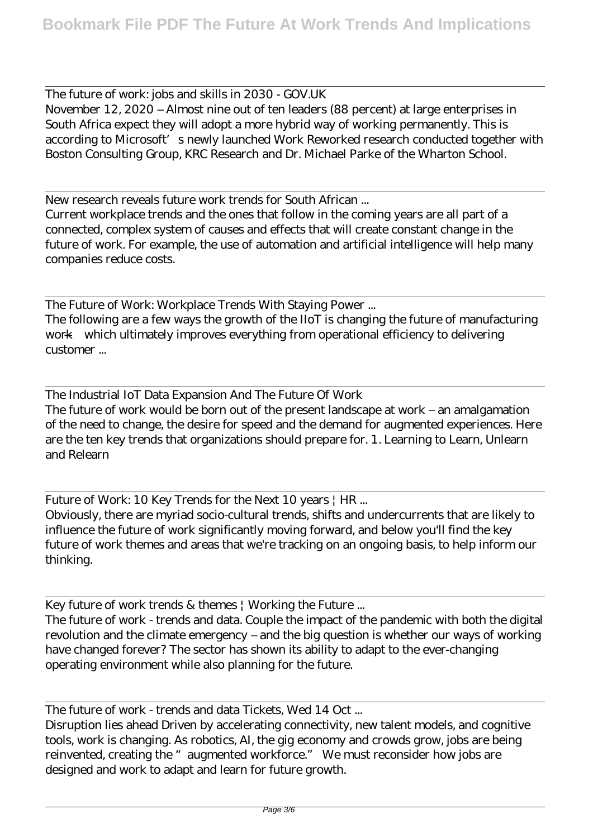The future of work: jobs and skills in 2030 - GOV.UK November 12, 2020 – Almost nine out of ten leaders (88 percent) at large enterprises in South Africa expect they will adopt a more hybrid way of working permanently. This is according to Microsoft's newly launched Work Reworked research conducted together with Boston Consulting Group, KRC Research and Dr. Michael Parke of the Wharton School.

New research reveals future work trends for South African ... Current workplace trends and the ones that follow in the coming years are all part of a connected, complex system of causes and effects that will create constant change in the future of work. For example, the use of automation and artificial intelligence will help many companies reduce costs.

The Future of Work: Workplace Trends With Staying Power ... The following are a few ways the growth of the IIoT is changing the future of manufacturing work—which ultimately improves everything from operational efficiency to delivering customer ...

The Industrial IoT Data Expansion And The Future Of Work The future of work would be born out of the present landscape at work – an amalgamation of the need to change, the desire for speed and the demand for augmented experiences. Here are the ten key trends that organizations should prepare for. 1. Learning to Learn, Unlearn and Relearn

Future of Work: 10 Key Trends for the Next 10 years | HR ...

Obviously, there are myriad socio-cultural trends, shifts and undercurrents that are likely to influence the future of work significantly moving forward, and below you'll find the key future of work themes and areas that we're tracking on an ongoing basis, to help inform our thinking.

Key future of work trends & themes | Working the Future ...

The future of work - trends and data. Couple the impact of the pandemic with both the digital revolution and the climate emergency – and the big question is whether our ways of working have changed forever? The sector has shown its ability to adapt to the ever-changing operating environment while also planning for the future.

The future of work - trends and data Tickets, Wed 14 Oct ...

Disruption lies ahead Driven by accelerating connectivity, new talent models, and cognitive tools, work is changing. As robotics, AI, the gig economy and crowds grow, jobs are being reinvented, creating the "augmented workforce." We must reconsider how jobs are designed and work to adapt and learn for future growth.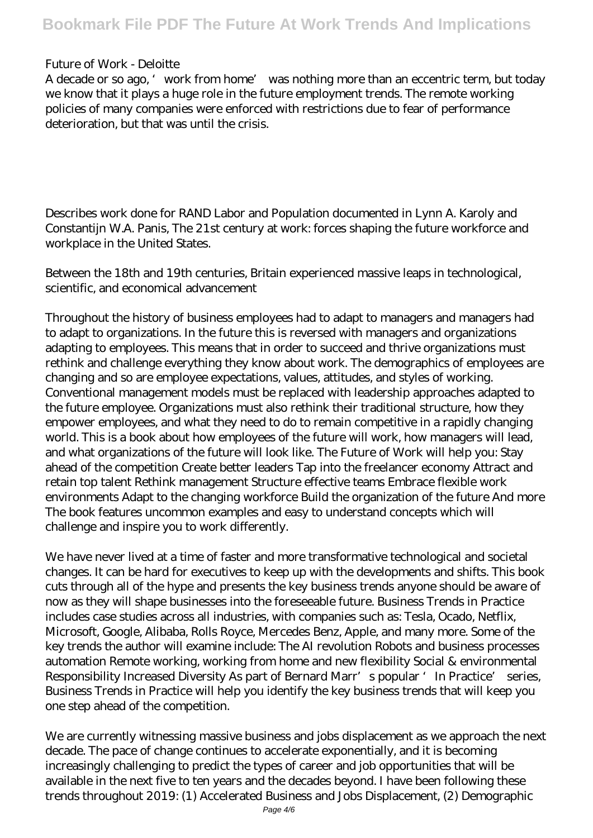## Future of Work - Deloitte

A decade or so ago, 'work from home' was nothing more than an eccentric term, but today we know that it plays a huge role in the future employment trends. The remote working policies of many companies were enforced with restrictions due to fear of performance deterioration, but that was until the crisis.

Describes work done for RAND Labor and Population documented in Lynn A. Karoly and Constantijn W.A. Panis, The 21st century at work: forces shaping the future workforce and workplace in the United States.

Between the 18th and 19th centuries, Britain experienced massive leaps in technological, scientific, and economical advancement

Throughout the history of business employees had to adapt to managers and managers had to adapt to organizations. In the future this is reversed with managers and organizations adapting to employees. This means that in order to succeed and thrive organizations must rethink and challenge everything they know about work. The demographics of employees are changing and so are employee expectations, values, attitudes, and styles of working. Conventional management models must be replaced with leadership approaches adapted to the future employee. Organizations must also rethink their traditional structure, how they empower employees, and what they need to do to remain competitive in a rapidly changing world. This is a book about how employees of the future will work, how managers will lead, and what organizations of the future will look like. The Future of Work will help you: Stay ahead of the competition Create better leaders Tap into the freelancer economy Attract and retain top talent Rethink management Structure effective teams Embrace flexible work environments Adapt to the changing workforce Build the organization of the future And more The book features uncommon examples and easy to understand concepts which will challenge and inspire you to work differently.

We have never lived at a time of faster and more transformative technological and societal changes. It can be hard for executives to keep up with the developments and shifts. This book cuts through all of the hype and presents the key business trends anyone should be aware of now as they will shape businesses into the foreseeable future. Business Trends in Practice includes case studies across all industries, with companies such as: Tesla, Ocado, Netflix, Microsoft, Google, Alibaba, Rolls Royce, Mercedes Benz, Apple, and many more. Some of the key trends the author will examine include: The AI revolution Robots and business processes automation Remote working, working from home and new flexibility Social & environmental Responsibility Increased Diversity As part of Bernard Marr's popular 'In Practice' series, Business Trends in Practice will help you identify the key business trends that will keep you one step ahead of the competition.

We are currently witnessing massive business and jobs displacement as we approach the next decade. The pace of change continues to accelerate exponentially, and it is becoming increasingly challenging to predict the types of career and job opportunities that will be available in the next five to ten years and the decades beyond. I have been following these trends throughout 2019: (1) Accelerated Business and Jobs Displacement, (2) Demographic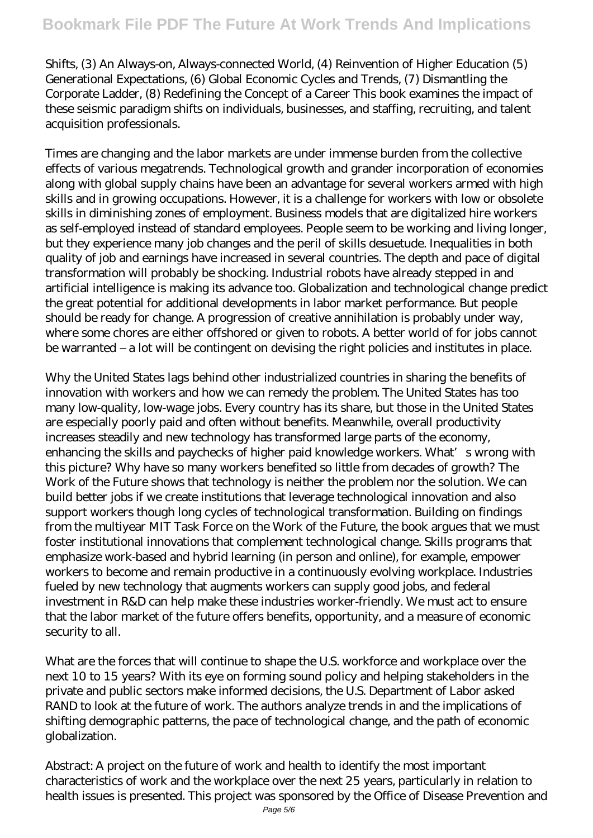Shifts, (3) An Always-on, Always-connected World, (4) Reinvention of Higher Education (5) Generational Expectations, (6) Global Economic Cycles and Trends, (7) Dismantling the Corporate Ladder, (8) Redefining the Concept of a Career This book examines the impact of these seismic paradigm shifts on individuals, businesses, and staffing, recruiting, and talent acquisition professionals.

Times are changing and the labor markets are under immense burden from the collective effects of various megatrends. Technological growth and grander incorporation of economies along with global supply chains have been an advantage for several workers armed with high skills and in growing occupations. However, it is a challenge for workers with low or obsolete skills in diminishing zones of employment. Business models that are digitalized hire workers as self-employed instead of standard employees. People seem to be working and living longer, but they experience many job changes and the peril of skills desuetude. Inequalities in both quality of job and earnings have increased in several countries. The depth and pace of digital transformation will probably be shocking. Industrial robots have already stepped in and artificial intelligence is making its advance too. Globalization and technological change predict the great potential for additional developments in labor market performance. But people should be ready for change. A progression of creative annihilation is probably under way, where some chores are either offshored or given to robots. A better world of for jobs cannot be warranted – a lot will be contingent on devising the right policies and institutes in place.

Why the United States lags behind other industrialized countries in sharing the benefits of innovation with workers and how we can remedy the problem. The United States has too many low-quality, low-wage jobs. Every country has its share, but those in the United States are especially poorly paid and often without benefits. Meanwhile, overall productivity increases steadily and new technology has transformed large parts of the economy, enhancing the skills and paychecks of higher paid knowledge workers. What's wrong with this picture? Why have so many workers benefited so little from decades of growth? The Work of the Future shows that technology is neither the problem nor the solution. We can build better jobs if we create institutions that leverage technological innovation and also support workers though long cycles of technological transformation. Building on findings from the multiyear MIT Task Force on the Work of the Future, the book argues that we must foster institutional innovations that complement technological change. Skills programs that emphasize work-based and hybrid learning (in person and online), for example, empower workers to become and remain productive in a continuously evolving workplace. Industries fueled by new technology that augments workers can supply good jobs, and federal investment in R&D can help make these industries worker-friendly. We must act to ensure that the labor market of the future offers benefits, opportunity, and a measure of economic security to all.

What are the forces that will continue to shape the U.S. workforce and workplace over the next 10 to 15 years? With its eye on forming sound policy and helping stakeholders in the private and public sectors make informed decisions, the U.S. Department of Labor asked RAND to look at the future of work. The authors analyze trends in and the implications of shifting demographic patterns, the pace of technological change, and the path of economic globalization.

Abstract: A project on the future of work and health to identify the most important characteristics of work and the workplace over the next 25 years, particularly in relation to health issues is presented. This project was sponsored by the Office of Disease Prevention and